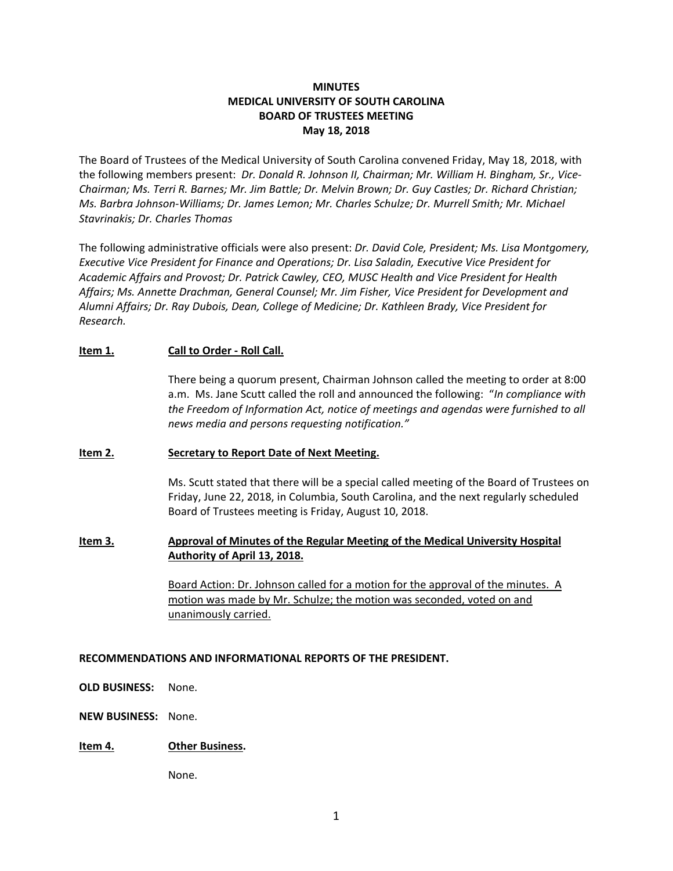# **MINUTES MEDICAL UNIVERSITY OF SOUTH CAROLINA BOARD OF TRUSTEES MEETING May 18, 2018**

The Board of Trustees of the Medical University of South Carolina convened Friday, May 18, 2018, with the following members present: *Dr. Donald R. Johnson II, Chairman; Mr. William H. Bingham, Sr., Vice-Chairman; Ms. Terri R. Barnes; Mr. Jim Battle; Dr. Melvin Brown; Dr. Guy Castles; Dr. Richard Christian; Ms. Barbra Johnson-Williams; Dr. James Lemon; Mr. Charles Schulze; Dr. Murrell Smith; Mr. Michael Stavrinakis; Dr. Charles Thomas*

The following administrative officials were also present: *Dr. David Cole, President; Ms. Lisa Montgomery, Executive Vice President for Finance and Operations; Dr. Lisa Saladin, Executive Vice President for Academic Affairs and Provost; Dr. Patrick Cawley, CEO, MUSC Health and Vice President for Health Affairs; Ms. Annette Drachman, General Counsel; Mr. Jim Fisher, Vice President for Development and Alumni Affairs; Dr. Ray Dubois, Dean, College of Medicine; Dr. Kathleen Brady, Vice President for Research.*

### **Item 1. Call to Order - Roll Call.**

There being a quorum present, Chairman Johnson called the meeting to order at 8:00 a.m. Ms. Jane Scutt called the roll and announced the following: "*In compliance with the Freedom of Information Act, notice of meetings and agendas were furnished to all news media and persons requesting notification."*

### **Item 2. Secretary to Report Date of Next Meeting.**

Ms. Scutt stated that there will be a special called meeting of the Board of Trustees on Friday, June 22, 2018, in Columbia, South Carolina, and the next regularly scheduled Board of Trustees meeting is Friday, August 10, 2018.

# **Item 3. Approval of Minutes of the Regular Meeting of the Medical University Hospital Authority of April 13, 2018.**

Board Action: Dr. Johnson called for a motion for the approval of the minutes. A motion was made by Mr. Schulze; the motion was seconded, voted on and unanimously carried.

### **RECOMMENDATIONS AND INFORMATIONAL REPORTS OF THE PRESIDENT.**

**OLD BUSINESS:** None.

**NEW BUSINESS:** None.

# **Item 4. Other Business.**

None.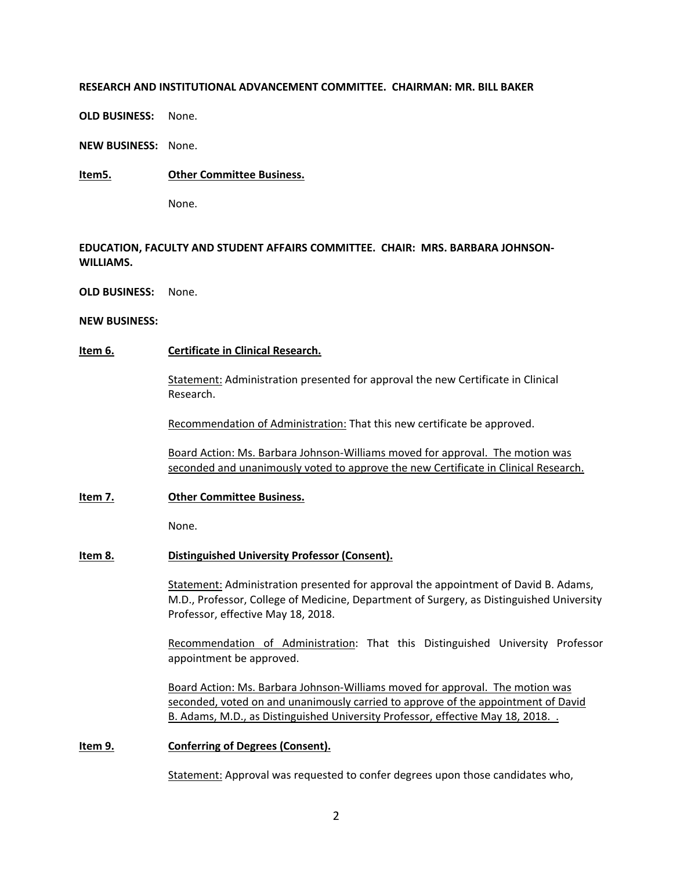### **RESEARCH AND INSTITUTIONAL ADVANCEMENT COMMITTEE. CHAIRMAN: MR. BILL BAKER**

**OLD BUSINESS:** None.

**NEW BUSINESS:** None.

**Item5. Other Committee Business.**

None.

# **EDUCATION, FACULTY AND STUDENT AFFAIRS COMMITTEE. CHAIR: MRS. BARBARA JOHNSON-WILLIAMS.**

**OLD BUSINESS:** None.

### **NEW BUSINESS:**

# **Item 6. Certificate in Clinical Research.**

Statement: Administration presented for approval the new Certificate in Clinical Research.

Recommendation of Administration: That this new certificate be approved.

Board Action: Ms. Barbara Johnson-Williams moved for approval. The motion was seconded and unanimously voted to approve the new Certificate in Clinical Research.

# **Item 7. Other Committee Business.**

None.

# **Item 8. Distinguished University Professor (Consent).**

Statement: Administration presented for approval the appointment of David B. Adams, M.D., Professor, College of Medicine, Department of Surgery, as Distinguished University Professor, effective May 18, 2018.

Recommendation of Administration: That this Distinguished University Professor appointment be approved.

Board Action: Ms. Barbara Johnson-Williams moved for approval. The motion was seconded, voted on and unanimously carried to approve of the appointment of David B. Adams, M.D., as Distinguished University Professor, effective May 18, 2018. .

**Item 9. Conferring of Degrees (Consent).**

Statement: Approval was requested to confer degrees upon those candidates who,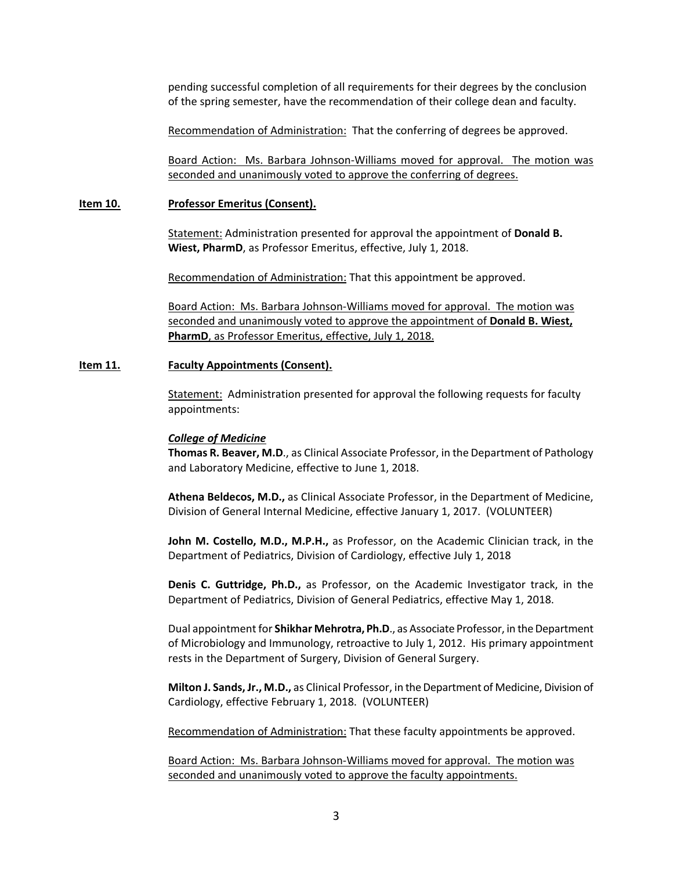pending successful completion of all requirements for their degrees by the conclusion of the spring semester, have the recommendation of their college dean and faculty.

Recommendation of Administration: That the conferring of degrees be approved.

Board Action: Ms. Barbara Johnson-Williams moved for approval. The motion was seconded and unanimously voted to approve the conferring of degrees.

#### **Item 10. Professor Emeritus (Consent).**

Statement: Administration presented for approval the appointment of **Donald B. Wiest, PharmD**, as Professor Emeritus, effective, July 1, 2018.

Recommendation of Administration: That this appointment be approved.

Board Action: Ms. Barbara Johnson-Williams moved for approval. The motion was seconded and unanimously voted to approve the appointment of **Donald B. Wiest, PharmD**, as Professor Emeritus, effective, July 1, 2018.

#### **Item 11. Faculty Appointments (Consent).**

Statement: Administration presented for approval the following requests for faculty appointments:

#### *College of Medicine*

**Thomas R. Beaver, M.D**., as Clinical Associate Professor, in the Department of Pathology and Laboratory Medicine, effective to June 1, 2018.

**Athena Beldecos, M.D.,** as Clinical Associate Professor, in the Department of Medicine, Division of General Internal Medicine, effective January 1, 2017. (VOLUNTEER)

**John M. Costello, M.D., M.P.H.,** as Professor, on the Academic Clinician track, in the Department of Pediatrics, Division of Cardiology, effective July 1, 2018

**Denis C. Guttridge, Ph.D.,** as Professor, on the Academic Investigator track, in the Department of Pediatrics, Division of General Pediatrics, effective May 1, 2018.

Dual appointment for **Shikhar Mehrotra, Ph.D**., as Associate Professor, in the Department of Microbiology and Immunology, retroactive to July 1, 2012. His primary appointment rests in the Department of Surgery, Division of General Surgery.

**Milton J. Sands, Jr., M.D.,** as Clinical Professor, in the Department of Medicine, Division of Cardiology, effective February 1, 2018. (VOLUNTEER)

Recommendation of Administration: That these faculty appointments be approved.

Board Action: Ms. Barbara Johnson-Williams moved for approval. The motion was seconded and unanimously voted to approve the faculty appointments.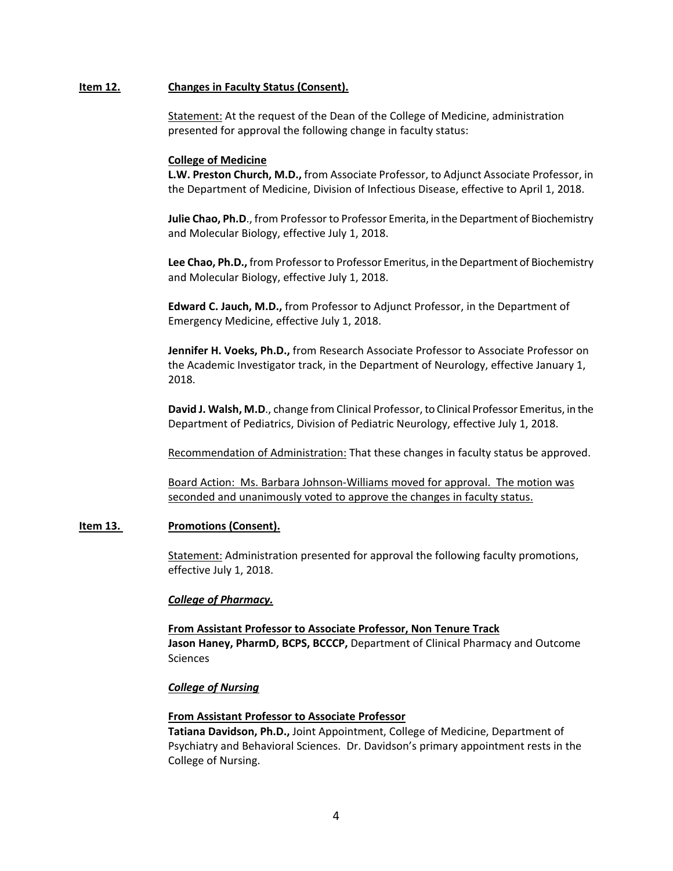### **Item 12. Changes in Faculty Status (Consent).**

Statement: At the request of the Dean of the College of Medicine, administration presented for approval the following change in faculty status:

### **College of Medicine**

**L.W. Preston Church, M.D.,** from Associate Professor, to Adjunct Associate Professor, in the Department of Medicine, Division of Infectious Disease, effective to April 1, 2018.

**Julie Chao, Ph.D**., from Professor to Professor Emerita, in the Department of Biochemistry and Molecular Biology, effective July 1, 2018.

**Lee Chao, Ph.D.,** from Professor to Professor Emeritus, in the Department of Biochemistry and Molecular Biology, effective July 1, 2018.

**Edward C. Jauch, M.D.,** from Professor to Adjunct Professor, in the Department of Emergency Medicine, effective July 1, 2018.

**Jennifer H. Voeks, Ph.D.,** from Research Associate Professor to Associate Professor on the Academic Investigator track, in the Department of Neurology, effective January 1, 2018.

**David J. Walsh, M.D**., change from Clinical Professor, to Clinical Professor Emeritus, in the Department of Pediatrics, Division of Pediatric Neurology, effective July 1, 2018.

Recommendation of Administration: That these changes in faculty status be approved.

Board Action: Ms. Barbara Johnson-Williams moved for approval. The motion was seconded and unanimously voted to approve the changes in faculty status.

### **Item 13. Promotions (Consent).**

Statement: Administration presented for approval the following faculty promotions, effective July 1, 2018.

### *College of Pharmacy.*

**From Assistant Professor to Associate Professor, Non Tenure Track Jason Haney, PharmD, BCPS, BCCCP,** Department of Clinical Pharmacy and Outcome Sciences

### *College of Nursing*

### **From Assistant Professor to Associate Professor**

**Tatiana Davidson, Ph.D.,** Joint Appointment, College of Medicine, Department of Psychiatry and Behavioral Sciences. Dr. Davidson's primary appointment rests in the College of Nursing.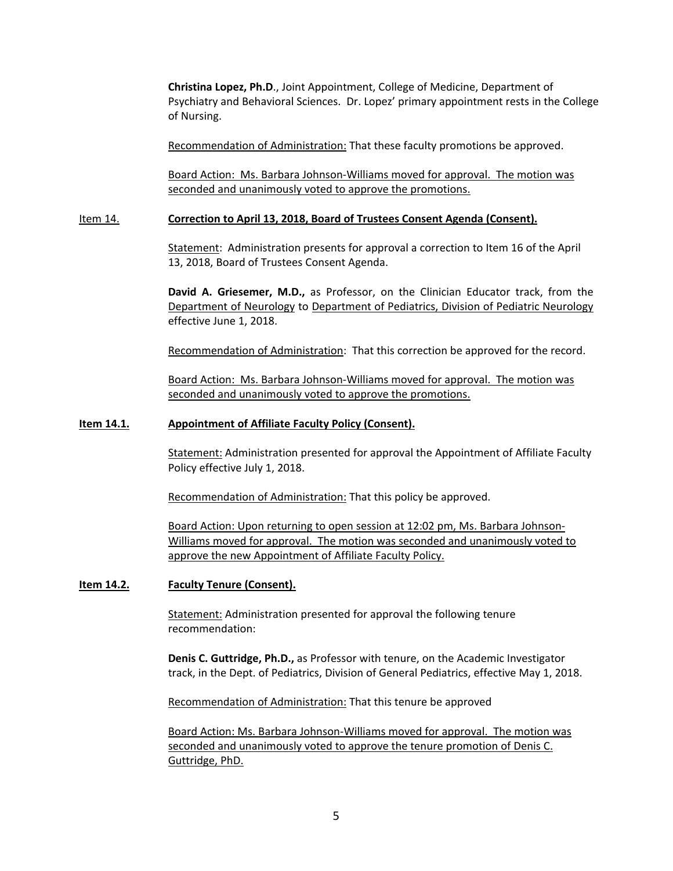**Christina Lopez, Ph.D**., Joint Appointment, College of Medicine, Department of Psychiatry and Behavioral Sciences. Dr. Lopez' primary appointment rests in the College of Nursing.

Recommendation of Administration: That these faculty promotions be approved.

Board Action: Ms. Barbara Johnson-Williams moved for approval. The motion was seconded and unanimously voted to approve the promotions.

### Item 14. **Correction to April 13, 2018, Board of Trustees Consent Agenda (Consent).**

Statement: Administration presents for approval a correction to Item 16 of the April 13, 2018, Board of Trustees Consent Agenda.

**David A. Griesemer, M.D.,** as Professor, on the Clinician Educator track, from the Department of Neurology to Department of Pediatrics, Division of Pediatric Neurology effective June 1, 2018.

Recommendation of Administration: That this correction be approved for the record.

Board Action: Ms. Barbara Johnson-Williams moved for approval. The motion was seconded and unanimously voted to approve the promotions.

# **Item 14.1. Appointment of Affiliate Faculty Policy (Consent).**

Statement: Administration presented for approval the Appointment of Affiliate Faculty Policy effective July 1, 2018.

Recommendation of Administration: That this policy be approved.

Board Action: Upon returning to open session at 12:02 pm, Ms. Barbara Johnson-Williams moved for approval. The motion was seconded and unanimously voted to approve the new Appointment of Affiliate Faculty Policy.

# **Item 14.2. Faculty Tenure (Consent).**

Statement: Administration presented for approval the following tenure recommendation:

**Denis C. Guttridge, Ph.D.,** as Professor with tenure, on the Academic Investigator track, in the Dept. of Pediatrics, Division of General Pediatrics, effective May 1, 2018.

Recommendation of Administration: That this tenure be approved

 Board Action: Ms. Barbara Johnson-Williams moved for approval. The motion was seconded and unanimously voted to approve the tenure promotion of Denis C. Guttridge, PhD.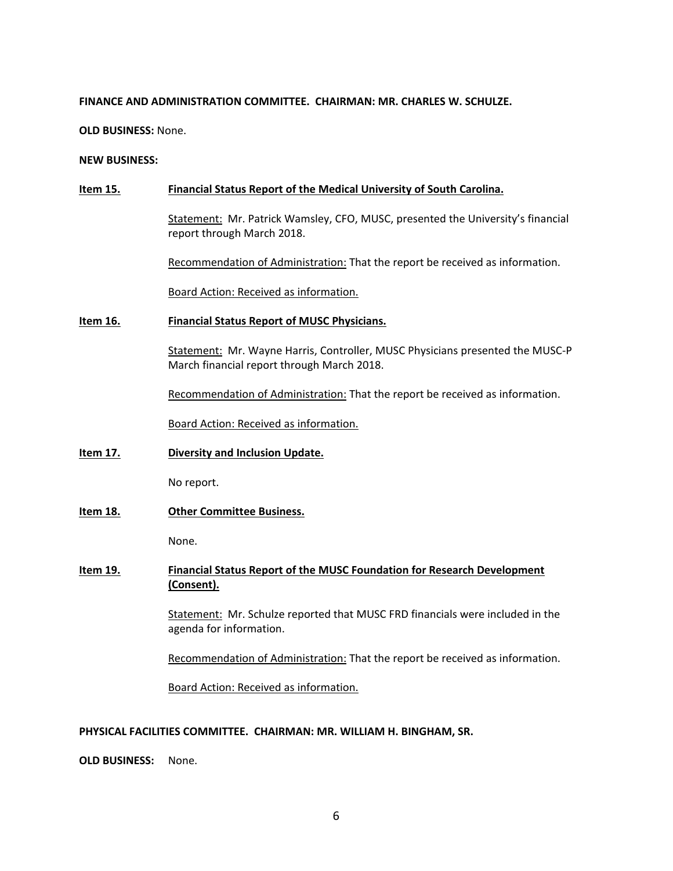### **FINANCE AND ADMINISTRATION COMMITTEE. CHAIRMAN: MR. CHARLES W. SCHULZE.**

**OLD BUSINESS:** None.

**NEW BUSINESS:** 

# **Item 15. Financial Status Report of the Medical University of South Carolina.**

Statement: Mr. Patrick Wamsley, CFO, MUSC, presented the University's financial report through March 2018.

Recommendation of Administration: That the report be received as information.

Board Action: Received as information.

### **Item 16. Financial Status Report of MUSC Physicians.**

Statement: Mr. Wayne Harris, Controller, MUSC Physicians presented the MUSC-P March financial report through March 2018.

Recommendation of Administration: That the report be received as information.

Board Action: Received as information.

**Item 17. Diversity and Inclusion Update.**

No report.

**Item 18. Other Committee Business.**

None.

**Item 19. Financial Status Report of the MUSC Foundation for Research Development (Consent).**

> Statement: Mr. Schulze reported that MUSC FRD financials were included in the agenda for information.

> Recommendation of Administration: That the report be received as information.

Board Action: Received as information.

### **PHYSICAL FACILITIES COMMITTEE. CHAIRMAN: MR. WILLIAM H. BINGHAM, SR.**

**OLD BUSINESS:** None.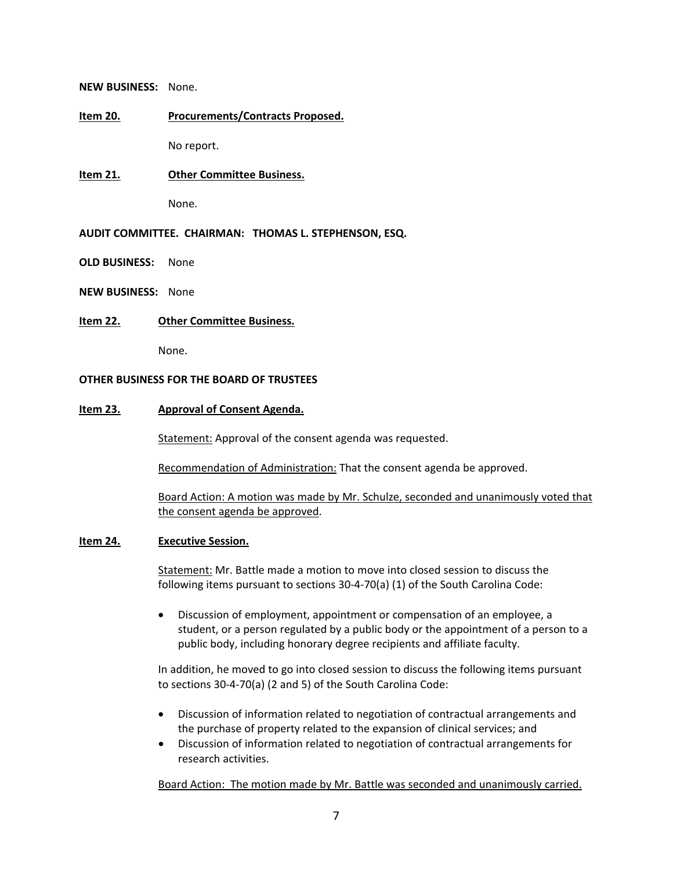#### **NEW BUSINESS:** None.

### **Item 20. Procurements/Contracts Proposed.**

No report.

### **Item 21. Other Committee Business.**

None.

### **AUDIT COMMITTEE. CHAIRMAN: THOMAS L. STEPHENSON, ESQ.**

**OLD BUSINESS:** None

**NEW BUSINESS:** None

### **Item 22. Other Committee Business.**

None.

### **OTHER BUSINESS FOR THE BOARD OF TRUSTEES**

### **Item 23. Approval of Consent Agenda.**

Statement: Approval of the consent agenda was requested.

Recommendation of Administration: That the consent agenda be approved.

Board Action: A motion was made by Mr. Schulze, seconded and unanimously voted that the consent agenda be approved.

### **Item 24. Executive Session.**

Statement: Mr. Battle made a motion to move into closed session to discuss the following items pursuant to sections 30-4-70(a) (1) of the South Carolina Code:

• Discussion of employment, appointment or compensation of an employee, a student, or a person regulated by a public body or the appointment of a person to a public body, including honorary degree recipients and affiliate faculty.

In addition, he moved to go into closed session to discuss the following items pursuant to sections 30-4-70(a) (2 and 5) of the South Carolina Code:

- Discussion of information related to negotiation of contractual arrangements and the purchase of property related to the expansion of clinical services; and
- Discussion of information related to negotiation of contractual arrangements for research activities.

Board Action: The motion made by Mr. Battle was seconded and unanimously carried.